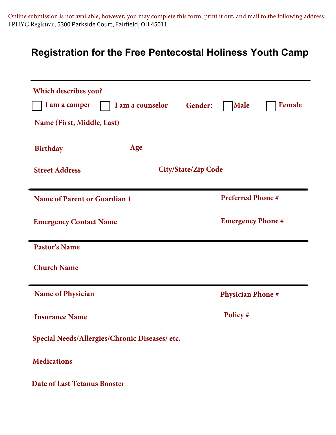Online submission is not available; however, you may complete this form, print it out, and mail to the following address: FPHYC Registrar; 5300 Parkside Court, Fairfield, OH 45011

## **Registration for the Free Pentecostal Holiness Youth Camp**

| <b>Which describes you?</b><br>I am a camper<br>I am a counselor<br>Name (First, Middle, Last) | <b>Female</b><br>Gender:<br><b>Male</b> |  |  |  |  |
|------------------------------------------------------------------------------------------------|-----------------------------------------|--|--|--|--|
| Age<br><b>Birthday</b>                                                                         |                                         |  |  |  |  |
| <b>Street Address</b>                                                                          | <b>City/State/Zip Code</b>              |  |  |  |  |
| <b>Name of Parent or Guardian 1</b>                                                            | <b>Preferred Phone#</b>                 |  |  |  |  |
| <b>Emergency Contact Name</b>                                                                  | <b>Emergency Phone #</b>                |  |  |  |  |
| <b>Pastor's Name</b>                                                                           |                                         |  |  |  |  |
| <b>Church Name</b>                                                                             |                                         |  |  |  |  |
| <b>Name of Physician</b>                                                                       | <b>Physician Phone#</b>                 |  |  |  |  |
| <b>Insurance Name</b>                                                                          | Policy#                                 |  |  |  |  |
| Special Needs/Allergies/Chronic Diseases/ etc.                                                 |                                         |  |  |  |  |
| <b>Medications</b>                                                                             |                                         |  |  |  |  |
| <b>Date of Last Tetanus Booster</b>                                                            |                                         |  |  |  |  |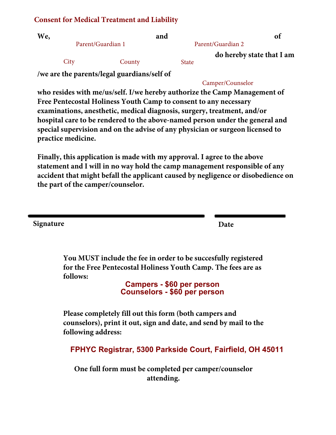#### **Consent for Medical Treatment and Liability**

| We, |                   |        | and               |              | of                        |
|-----|-------------------|--------|-------------------|--------------|---------------------------|
|     | Parent/Guardian 1 |        | Parent/Guardian 2 |              |                           |
|     |                   |        |                   |              | do hereby state that I am |
|     | City              | County |                   | <b>State</b> |                           |
|     |                   |        | $\mathbf{r}$      |              |                           |

**/we are the parents/legal guardians/self of** 

#### Camper/Counselor

**who resides with me/us/self. I/we hereby authorize the Camp Management of Free Pentecostal Holiness Youth Camp to consent to any necessary examinations, anesthetic, medical diagnosis, surgery, treatment, and/or hospital care to be rendered to the above-named person under the general and special supervision and on the advise of any physician or surgeon licensed to practice medicine.** 

**Finally, this application is made with my approval. I agree to the above statement and I will in no way hold the camp management responsible of any accident that might befall the applicant caused by negligence or disobedience on the part of the camper/counselor.**

**Signature Date**

**You MUST include the fee in order to be succesfully registered for the Free Pentecostal Holiness Youth Camp. The fees are as follows:**

> **Campers - \$60 per person Counselors - \$60 per person**

**Please completely fill out this form (both campers and counselors), print it out, sign and date, and send by mail to the following address:**

**FPHYC Registrar, 5300 Parkside Court, Fairfield, OH 45011**

**One full form must be completed per camper/counselor attending.**